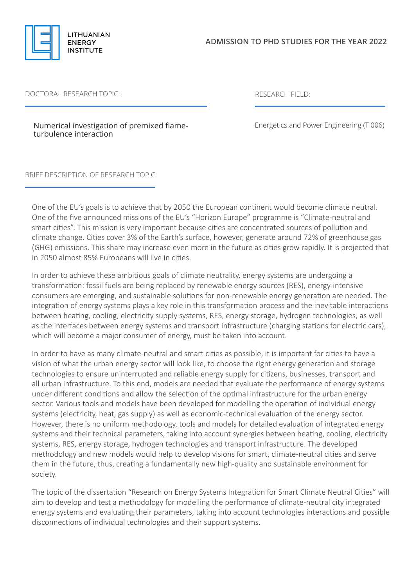

## DOCTORAL RESEARCH TOPIC: RESEARCH FIELD:

Numerical investigation of premixed flameturbulence interaction

Energetics and Power Engineering (T 006)

## BRIEF DESCRIPTION OF RESEARCH TOPIC:

One of the EU's goals is to achieve that by 2050 the European continent would become climate neutral. One of the five announced missions of the EU's "Horizon Europe" programme is "Climate-neutral and smart cities". This mission is very important because cities are concentrated sources of pollution and climate change. Cities cover 3% of the Earth's surface, however, generate around 72% of greenhouse gas (GHG) emissions. This share may increase even more in the future as cities grow rapidly. It is projected that in 2050 almost 85% Europeans will live in cities.

In order to achieve these ambitious goals of climate neutrality, energy systems are undergoing a transformation: fossil fuels are being replaced by renewable energy sources (RES), energy-intensive consumers are emerging, and sustainable solutions for non-renewable energy generation are needed. The integration of energy systems plays a key role in this transformation process and the inevitable interactions between heating, cooling, electricity supply systems, RES, energy storage, hydrogen technologies, as well as the interfaces between energy systems and transport infrastructure (charging stations for electric cars), which will become a major consumer of energy, must be taken into account.

In order to have as many climate-neutral and smart cities as possible, it is important for cities to have a vision of what the urban energy sector will look like, to choose the right energy generation and storage technologies to ensure uninterrupted and reliable energy supply for citizens, businesses, transport and all urban infrastructure. To this end, models are needed that evaluate the performance of energy systems under different conditions and allow the selection of the optimal infrastructure for the urban energy sector. Various tools and models have been developed for modelling the operation of individual energy systems (electricity, heat, gas supply) as well as economic-technical evaluation of the energy sector. However, there is no uniform methodology, tools and models for detailed evaluation of integrated energy systems and their technical parameters, taking into account synergies between heating, cooling, electricity systems, RES, energy storage, hydrogen technologies and transport infrastructure. The developed methodology and new models would help to develop visions for smart, climate-neutral cities and serve them in the future, thus, creating a fundamentally new high-quality and sustainable environment for society.

The topic of the dissertation "Research on Energy Systems Integration for Smart Climate Neutral Cities" will aim to develop and test a methodology for modelling the performance of climate-neutral city integrated energy systems and evaluating their parameters, taking into account technologies interactions and possible disconnections of individual technologies and their support systems.